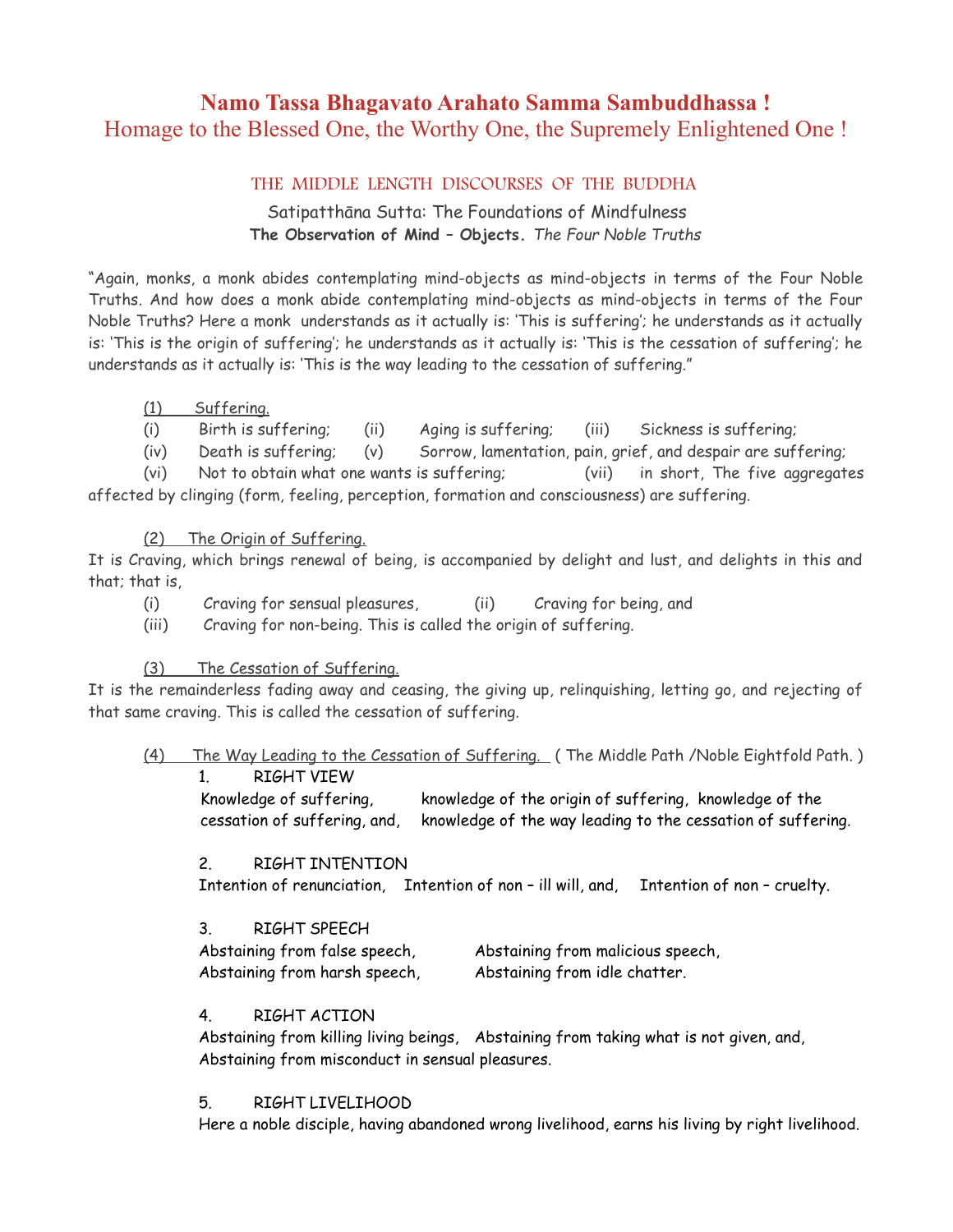# **Namo Tassa Bhagavato Arahato Samma Sambuddhassa !** Homage to the Blessed One, the Worthy One, the Supremely Enlightened One !

## THE MIDDLE LENGTH DISCOURSES OF THE BUDDHA

Satipatthāna Sutta: The Foundations of Mindfulness **The Observation of Mind – Objects.** *The Four Noble Truths*

"Again, monks, a monk abides contemplating mind-objects as mind-objects in terms of the Four Noble Truths. And how does a monk abide contemplating mind-objects as mind-objects in terms of the Four Noble Truths? Here a monk understands as it actually is: 'This is suffering'; he understands as it actually is: 'This is the origin of suffering'; he understands as it actually is: 'This is the cessation of suffering'; he understands as it actually is: 'This is the way leading to the cessation of suffering."

(1) Suffering.

(i) Birth is suffering; (ii) Aging is suffering; (iii) Sickness is suffering;

(iv) Death is suffering; (v) Sorrow, lamentation, pain, grief, and despair are suffering;

(vi) Not to obtain what one wants is suffering; (vii) in short, The five aggregates affected by clinging (form, feeling, perception, formation and consciousness) are suffering.

(2) The Origin of Suffering.

It is Craving, which brings renewal of being, is accompanied by delight and lust, and delights in this and that; that is,

- (i) Craving for sensual pleasures, (ii) Craving for being, and
- (iii) Craving for non-being. This is called the origin of suffering.

## (3) The Cessation of Suffering.

It is the remainderless fading away and ceasing, the giving up, relinquishing, letting go, and rejecting of that same craving. This is called the cessation of suffering.

(4) The Way Leading to the Cessation of Suffering. ( The Middle Path /Noble Eightfold Path. )

1. RIGHT VIEW

Knowledge of suffering, knowledge of the origin of suffering, knowledge of the cessation of suffering, and, knowledge of the way leading to the cessation of suffering.

## 2. RIGHT INTENTION

Intention of renunciation, Intention of non – ill will, and, Intention of non – cruelty.

3. RIGHT SPEECH

| Abstaining from false speech, | Abstaining from malicious speech, |
|-------------------------------|-----------------------------------|
| Abstaining from harsh speech, | Abstaining from idle chatter.     |

## 4. RIGHT ACTION

Abstaining from killing living beings, Abstaining from taking what is not given, and, Abstaining from misconduct in sensual pleasures.

#### 5. RIGHT LIVELIHOOD

Here a noble disciple, having abandoned wrong livelihood, earns his living by right livelihood.